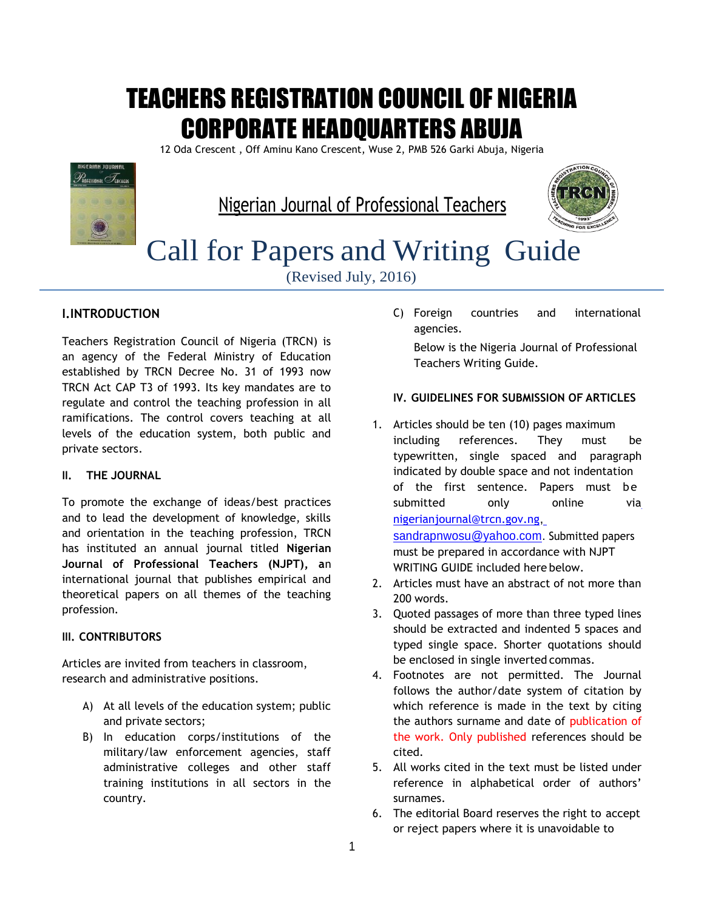# TEACHERS REGISTRATION COUNCIL OF NIGERIA CORPORATE HEADQUARTERS ABUJA

12 Oda Crescent , Off Aminu Kano Crescent, Wuse 2, PMB 526 Garki Abuja, Nigeria



Nigerian Journal of Professional Teachers



# Call for Papers and Writing Guide

(Revised July, 2016)

# **I.INTRODUCTION**

Teachers Registration Council of Nigeria (TRCN) is an agency of the Federal Ministry of Education established by TRCN Decree No. 31 of 1993 now TRCN Act CAP T3 of 1993. Its key mandates are to regulate and control the teaching profession in all ramifications. The control covers teaching at all levels of the education system, both public and private sectors.

# **II. THE JOURNAL**

To promote the exchange of ideas/best practices and to lead the development of knowledge, skills and orientation in the teaching profession, TRCN has instituted an annual journal titled **Nigerian Journal of Professional Teachers (NJPT), a**n international journal that publishes empirical and theoretical papers on all themes of the teaching profession.

# **III. CONTRIBUTORS**

Articles are invited from teachers in classroom, research and administrative positions.

- A) At all levels of the education system; public and private sectors;
- B) In education corps/institutions of the military/law enforcement agencies, staff administrative colleges and other staff training institutions in all sectors in the country.

C) Foreign countries and international agencies.

Below is the Nigeria Journal of Professional Teachers Writing Guide.

### **IV. GUIDELINES FOR SUBMISSION OF ARTICLES**

- 1. Articles should be ten (10) pages maximum including references. They must be typewritten, single spaced and paragraph indicated by double space and not indentation of the first sentence. Papers must be submitted only online vi[a](mailto:nigerianjournal@trcn.gov.ng) [nigerianjournal@trcn.gov.ng](mailto:nigerianjournal@trcn.gov.ng)[,](mailto:sandrapnwosu@yahoo.com) [sandrapnwosu@yahoo.com.](mailto:sandrapnwosu@yahoo.com) Submitted papers must be prepared in accordance with NJPT WRITING GUIDE included here below.
- 2. Articles must have an abstract of not more than 200 words.
- 3. Quoted passages of more than three typed lines should be extracted and indented 5 spaces and typed single space. Shorter quotations should be enclosed in single inverted commas.
- 4. Footnotes are not permitted. The Journal follows the author/date system of citation by which reference is made in the text by citing the authors surname and date of publication of the work. Only published references should be cited.
- 5. All works cited in the text must be listed under reference in alphabetical order of authors' surnames.
- 6. The editorial Board reserves the right to accept or reject papers where it is unavoidable to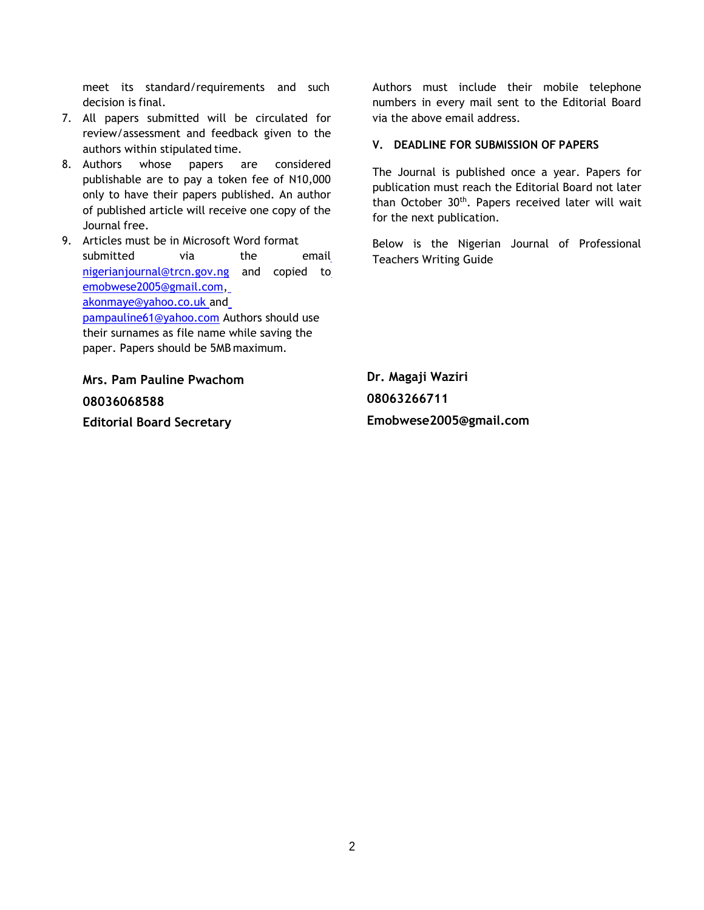meet its standard/requirements and such decision is final.

- 7. All papers submitted will be circulated for review/assessment and feedback given to the authors within stipulated time.
- 8. Authors whose papers are considered publishable are to pay a token fee of N10,000 only to have their papers published. An author of published article will receive one copy of the Journal free.
- 9. Articles must be in Microsoft Word format submitted via the emai[l](mailto:nigerianjournal@trcn.gov.ng) [nigerianjournal@trcn.gov.ng](mailto:nigerianjournal@trcn.gov.ng) and copied t[o](mailto:emobwese2005@gmail.com) [emobwese2005@gmail.com,](mailto:emobwese2005@gmail.com) [akonmaye@yahoo.co.uk a](mailto:%20akonmaye@yahoo.co.uk)n[d](mailto:%20pampauline61@yahoo.co) [pampauline61@yahoo.com](mailto:%20pampauline61@yahoo.co) Authors should use their surnames as file name while saving the paper. Papers should be 5MB maximum.

**Mrs. Pam Pauline Pwachom 08036068588 Editorial Board Secretary**

Authors must include their mobile telephone numbers in every mail sent to the Editorial Board via the above email address.

## **V. DEADLINE FOR SUBMISSION OF PAPERS**

The Journal is published once a year. Papers for publication must reach the Editorial Board not later than October 30<sup>th</sup>. Papers received later will wait for the next publication.

Below is the Nigerian Journal of Professional Teachers Writing Guide

**Dr. Magaji Waziri 08063266711 Emobwese2005@gmail.com**